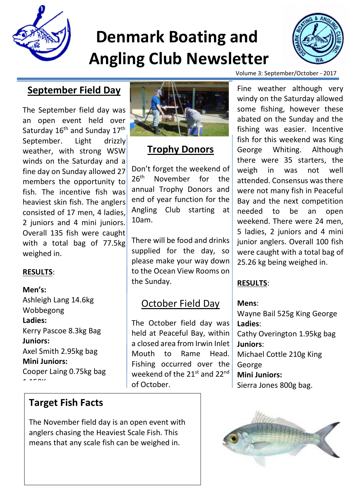

# **Denmark Boating and Angling Club Newsletter**



## **September Field Day**

The September field day was an open event held over Saturday 16<sup>th</sup> and Sunday 17<sup>th</sup> September. Light drizzly weather, with strong WSW winds on the Saturday and a fine day on Sunday allowed 27 members the opportunity to fish. The incentive fish was heaviest skin fish. The anglers consisted of 17 men, 4 ladies, 2 juniors and 4 mini juniors. Overall 135 fish were caught with a total bag of 77.5kg weighed in.

### **RESULTS**:

**Men's:** Ashleigh Lang 14.6kg Wobbegong **Ladies:** Kerry Pascoe 8.3kg Bag **Juniors:** Axel Smith 2.95kg bag **Mini Juniors:** Cooper Laing 0.75kg bag  $1.150k$ 

## **Target Fish Facts**

The November field day is an open event with anglers chasing the Heaviest Scale Fish. This means that any scale fish can be weighed in.



## **Trophy Donors**

Don't forget the weekend of 26<sup>th</sup> November for the annual Trophy Donors and end of year function for the Angling Club starting at 10am.

There will be food and drinks supplied for the day, so please make your way down to the Ocean View Rooms on the Sunday.

## October Field Day

The October field day was held at Peaceful Bay, within a closed area from Irwin Inlet Mouth to Rame Head. Fishing occurred over the weekend of the 21st and 22nd of October.

Volume 3: September/October - 2017

Fine weather although very windy on the Saturday allowed some fishing, however these abated on the Sunday and the fishing was easier. Incentive fish for this weekend was King George Whiting. Although there were 35 starters, the weigh in was not well attended. Consensus was there were not many fish in Peaceful Bay and the next competition needed to be an open weekend. There were 24 men, 5 ladies, 2 juniors and 4 mini junior anglers. Overall 100 fish were caught with a total bag of 25.26 kg being weighed in.

### **RESULTS**:

#### **Mens**:

Wayne Bail 525g King George **Ladies**: Cathy Overington 1.95kg bag **Juniors**: Michael Cottle 210g King George **Mini Juniors:** Sierra Jones 800g bag.